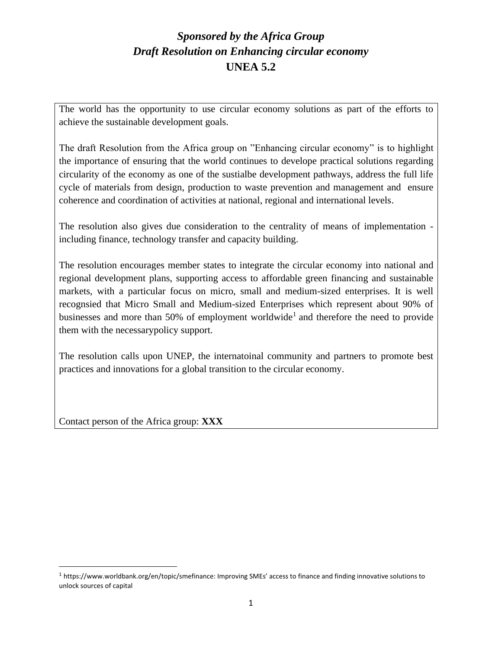The world has the opportunity to use circular economy solutions as part of the efforts to achieve the sustainable development goals.

The draft Resolution from the Africa group on "Enhancing circular economy" is to highlight the importance of ensuring that the world continues to develope practical solutions regarding circularity of the economy as one of the sustialbe development pathways, address the full life cycle of materials from design, production to waste prevention and management and ensure coherence and coordination of activities at national, regional and international levels.

The resolution also gives due consideration to the centrality of means of implementation including finance, technology transfer and capacity building.

The resolution encourages member states to integrate the circular economy into national and regional development plans, supporting access to affordable green financing and sustainable markets, with a particular focus on micro, small and medium-sized enterprises. It is well recognsied that Micro Small and Medium-sized Enterprises which represent about 90% of businesses and more than 50% of employment worldwide<sup>1</sup> and therefore the need to provide them with the necessarypolicy support.

The resolution calls upon UNEP, the internatoinal community and partners to promote best practices and innovations for a global transition to the circular economy.

Contact person of the Africa group: **XXX**

<sup>1</sup> https://www.worldbank.org/en/topic/smefinance: Improving SMEs' access to finance and finding innovative solutions to unlock sources of capital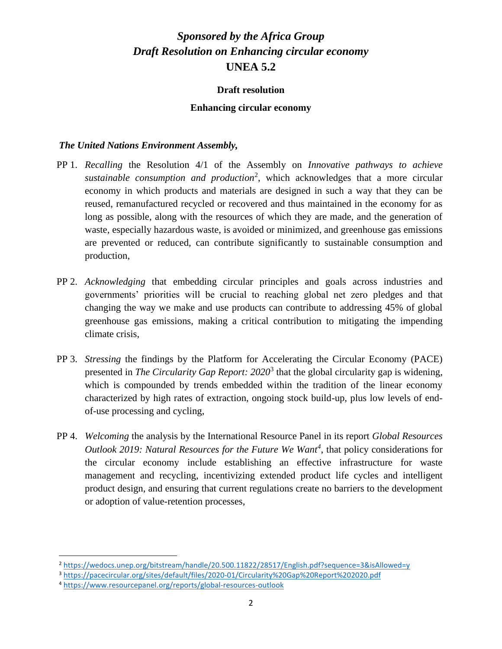### **Draft resolution**

### **Enhancing circular economy**

### *The United Nations Environment Assembly,*

- PP 1. *Recalling* the Resolution 4/1 of the Assembly on *Innovative pathways to achieve sustainable consumption and production*<sup>2</sup> , which acknowledges that a more circular economy in which products and materials are designed in such a way that they can be reused, remanufactured recycled or recovered and thus maintained in the economy for as long as possible, along with the resources of which they are made, and the generation of waste, especially hazardous waste, is avoided or minimized, and greenhouse gas emissions are prevented or reduced, can contribute significantly to sustainable consumption and production,
- PP 2. *Acknowledging* that embedding circular principles and goals across industries and governments' priorities will be crucial to reaching global net zero pledges and that changing the way we make and use products can contribute to addressing 45% of global greenhouse gas emissions, making a critical contribution to mitigating the impending climate crisis,
- PP 3. *Stressing* the findings by the Platform for Accelerating the Circular Economy (PACE) presented in *The Circularity Gap Report: 2020*<sup>3</sup> that the global circularity gap is widening, which is compounded by trends embedded within the tradition of the linear economy characterized by high rates of extraction, ongoing stock build-up, plus low levels of endof-use processing and cycling,
- PP 4. *Welcoming* the analysis by the International Resource Panel in its report *Global Resources Outlook 2019: Natural Resources for the Future We Want<sup>4</sup>* , that policy considerations for the circular economy include establishing an effective infrastructure for waste management and recycling, incentivizing extended product life cycles and intelligent product design, and ensuring that current regulations create no barriers to the development or adoption of value-retention processes,

<sup>2</sup> <https://wedocs.unep.org/bitstream/handle/20.500.11822/28517/English.pdf?sequence=3&isAllowed=y>

<sup>3</sup> <https://pacecircular.org/sites/default/files/2020-01/Circularity%20Gap%20Report%202020.pdf>

<sup>4</sup> <https://www.resourcepanel.org/reports/global-resources-outlook>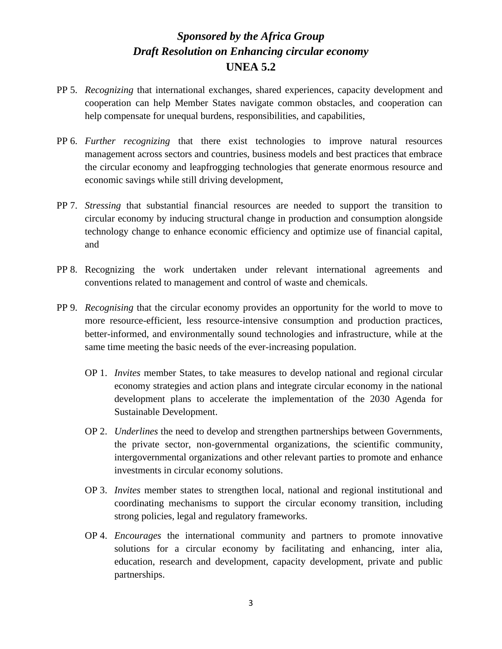- PP 5. *Recognizing* that international exchanges, shared experiences, capacity development and cooperation can help Member States navigate common obstacles, and cooperation can help compensate for unequal burdens, responsibilities, and capabilities,
- PP 6. *Further recognizing* that there exist technologies to improve natural resources management across sectors and countries, business models and best practices that embrace the circular economy and leapfrogging technologies that generate enormous resource and economic savings while still driving development,
- PP 7. *Stressing* that substantial financial resources are needed to support the transition to circular economy by inducing structural change in production and consumption alongside technology change to enhance economic efficiency and optimize use of financial capital, and
- PP 8. Recognizing the work undertaken under relevant international agreements and conventions related to management and control of waste and chemicals.
- PP 9. *Recognising* that the circular economy provides an opportunity for the world to move to more resource-efficient, less resource-intensive consumption and production practices, better-informed, and environmentally sound technologies and infrastructure, while at the same time meeting the basic needs of the ever-increasing population.
	- OP 1. *Invites* member States, to take measures to develop national and regional circular economy strategies and action plans and integrate circular economy in the national development plans to accelerate the implementation of the 2030 Agenda for Sustainable Development.
	- OP 2. *Underlines* the need to develop and strengthen partnerships between Governments, the private sector, non-governmental organizations, the scientific community, intergovernmental organizations and other relevant parties to promote and enhance investments in circular economy solutions.
	- OP 3. *Invites* member states to strengthen local, national and regional institutional and coordinating mechanisms to support the circular economy transition, including strong policies, legal and regulatory frameworks.
	- OP 4. *Encourages* the international community and partners to promote innovative solutions for a circular economy by facilitating and enhancing, inter alia, education, research and development, capacity development, private and public partnerships.